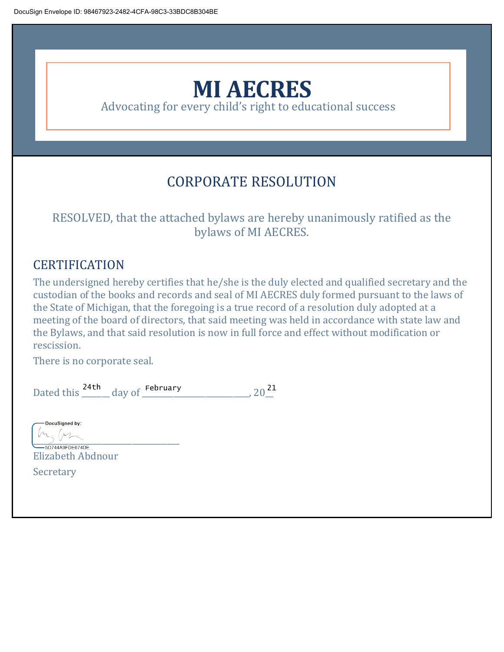

Advocating for every child's right to educational success

# CORPORATE RESOLUTION

# RESOLVED, that the attached bylaws are hereby unanimously ratified as the bylaws of MI AECRES.

# CERTIFICATION

The undersigned hereby certifies that he/she is the duly elected and qualified secretary and the custodian of the books and records and seal of MI AECRES duly formed pursuant to the laws of the State of Michigan, that the foregoing is a true record of a resolution duly adopted at a meeting of the board of directors, that said meeting was held in accordance with state law and the Bylaws, and that said resolution is now in full force and effect without modification or rescission.

There is no corporate seal.

|            |  |        | February |  |
|------------|--|--------|----------|--|
| Dated this |  | day of |          |  |

DocuSigned by:

 $\frac{1}{2}$ Elizabeth Abdnour Secretary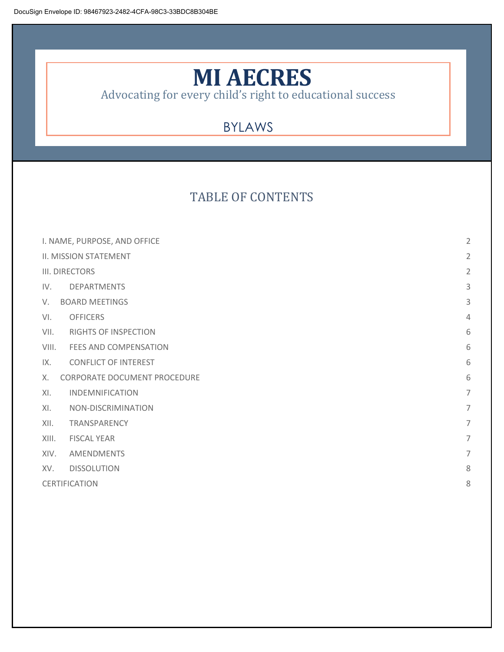# **MI AECRES**

Advocating for every child's right to educational success

# BYLAWS

# TABLE OF CONTENTS

| I. NAME, PURPOSE, AND OFFICE       |                             |                |  |
|------------------------------------|-----------------------------|----------------|--|
| II. MISSION STATEMENT              |                             |                |  |
| III. DIRECTORS                     |                             |                |  |
| IV.                                | <b>DEPARTMENTS</b>          | 3              |  |
| <b>BOARD MEETINGS</b><br>V.        |                             |                |  |
| VI.                                | <b>OFFICERS</b>             | $\overline{4}$ |  |
| VII.                               | <b>RIGHTS OF INSPECTION</b> | 6              |  |
| VIII.                              | FEES AND COMPENSATION       | 6              |  |
| IX.                                | <b>CONFLICT OF INTEREST</b> | 6              |  |
| CORPORATE DOCUMENT PROCEDURE<br>Χ. |                             |                |  |
| XL                                 | <b>INDEMNIFICATION</b>      | $\overline{7}$ |  |
| XL                                 | NON-DISCRIMINATION          | 7              |  |
| XII.                               | TRANSPARENCY                | $\overline{7}$ |  |
| XIII.                              | <b>FISCAL YEAR</b>          | $\overline{7}$ |  |
| XIV.                               | AMENDMENTS                  | $\overline{7}$ |  |
| XV.                                | <b>DISSOLUTION</b>          | 8              |  |
|                                    | <b>CERTIFICATION</b>        |                |  |
|                                    |                             |                |  |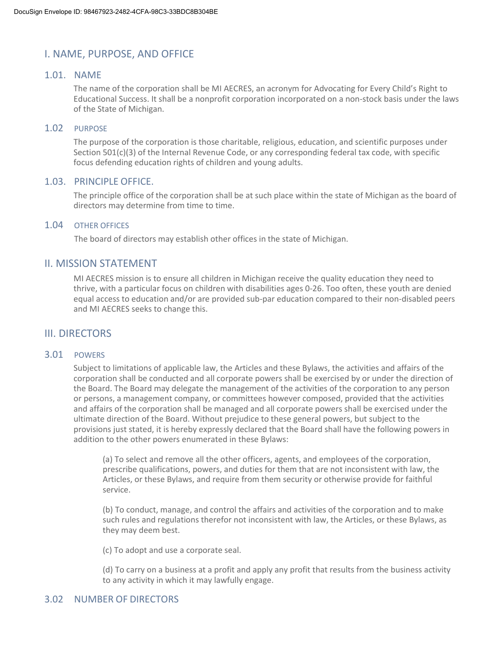## I. NAME, PURPOSE, AND OFFICE

#### 1.01. NAME

The name of the corporation shall be MI AECRES, an acronym for Advocating for Every Child's Right to Educational Success. It shall be a nonprofit corporation incorporated on a non-stock basis under the laws of the State of Michigan.

#### 1.02 PURPOSE

The purpose of the corporation is those charitable, religious, education, and scientific purposes under Section 501(c)(3) of the Internal Revenue Code, or any corresponding federal tax code, with specific focus defending education rights of children and young adults.

#### 1.03. PRINCIPLE OFFICE.

The principle office of the corporation shall be at such place within the state of Michigan as the board of directors may determine from time to time.

#### 1.04 OTHER OFFICES

The board of directors may establish other offices in the state of Michigan.

### II. MISSION STATEMENT

MI AECRES mission is to ensure all children in Michigan receive the quality education they need to thrive, with a particular focus on children with disabilities ages 0-26. Too often, these youth are denied equal access to education and/or are provided sub-par education compared to their non-disabled peers and MI AECRES seeks to change this.

#### III. DIRECTORS

#### 3.01 POWERS

Subject to limitations of applicable law, the Articles and these Bylaws, the activities and affairs of the corporation shall be conducted and all corporate powers shall be exercised by or under the direction of the Board. The Board may delegate the management of the activities of the corporation to any person or persons, a management company, or committees however composed, provided that the activities and affairs of the corporation shall be managed and all corporate powers shall be exercised under the ultimate direction of the Board. Without prejudice to these general powers, but subject to the provisions just stated, it is hereby expressly declared that the Board shall have the following powers in addition to the other powers enumerated in these Bylaws:

(a) To select and remove all the other officers, agents, and employees of the corporation, prescribe qualifications, powers, and duties for them that are not inconsistent with law, the Articles, or these Bylaws, and require from them security or otherwise provide for faithful service.

(b) To conduct, manage, and control the affairs and activities of the corporation and to make such rules and regulations therefor not inconsistent with law, the Articles, or these Bylaws, as they may deem best.

(c) To adopt and use a corporate seal.

(d) To carry on a business at a profit and apply any profit that results from the business activity to any activity in which it may lawfully engage.

#### 3.02 NUMBER OF DIRECTORS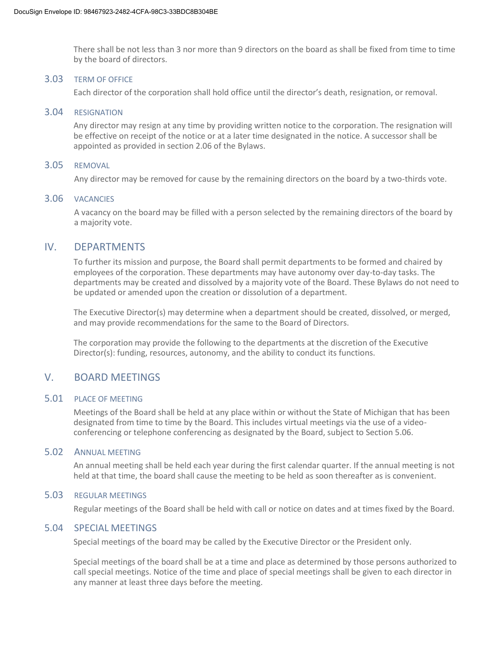There shall be not less than 3 nor more than 9 directors on the board as shall be fixed from time to time by the board of directors.

#### 3.03 TERM OF OFFICE

Each director of the corporation shall hold office until the director's death, resignation, or removal.

#### 3.04 RESIGNATION

Any director may resign at any time by providing written notice to the corporation. The resignation will be effective on receipt of the notice or at a later time designated in the notice. A successor shall be appointed as provided in section 2.06 of the Bylaws.

#### 3.05 REMOVAL

Any director may be removed for cause by the remaining directors on the board by a two-thirds vote.

#### 3.06 VACANCIES

A vacancy on the board may be filled with a person selected by the remaining directors of the board by a majority vote.

#### IV. DEPARTMENTS

To further its mission and purpose, the Board shall permit departments to be formed and chaired by employees of the corporation. These departments may have autonomy over day-to-day tasks. The departments may be created and dissolved by a majority vote of the Board. These Bylaws do not need to be updated or amended upon the creation or dissolution of a department.

The Executive Director(s) may determine when a department should be created, dissolved, or merged, and may provide recommendations for the same to the Board of Directors.

The corporation may provide the following to the departments at the discretion of the Executive Director(s): funding, resources, autonomy, and the ability to conduct its functions.

## V. BOARD MEETINGS

#### 5.01 PLACE OF MEETING

Meetings of the Board shall be held at any place within or without the State of Michigan that has been designated from time to time by the Board. This includes virtual meetings via the use of a videoconferencing or telephone conferencing as designated by the Board, subject to Section 5.06.

#### 5.02 ANNUAL MEETING

An annual meeting shall be held each year during the first calendar quarter. If the annual meeting is not held at that time, the board shall cause the meeting to be held as soon thereafter as is convenient.

#### 5.03 REGULAR MEETINGS

Regular meetings of the Board shall be held with call or notice on dates and at times fixed by the Board.

#### 5.04 SPECIAL MEETINGS

Special meetings of the board may be called by the Executive Director or the President only.

Special meetings of the board shall be at a time and place as determined by those persons authorized to call special meetings. Notice of the time and place of special meetings shall be given to each director in any manner at least three days before the meeting.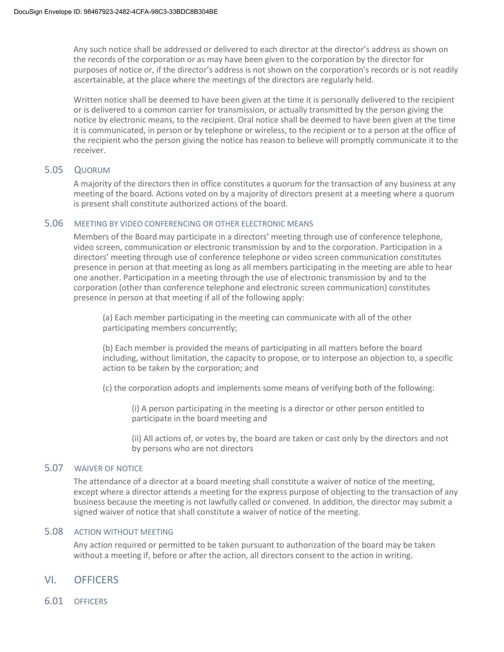Any such notice shall be addressed or delivered to each director at the director's address as shown on the records of the corporation or as may have been given to the corporation by the director for purposes of notice or, if the director's address is not shown on the corporation's records or is not readily ascertainable, at the place where the meetings of the directors are regularly held.

Written notice shall be deemed to have been given at the time it is personally delivered to the recipient or is delivered to a common carrier for transmission, or actually transmitted by the person giving the notice by electronic means, to the recipient. Oral notice shall be deemed to have been given at the time it is communicated, in person or by telephone or wireless, to the recipient or to a person at the office of the recipient who the person giving the notice has reason to believe will promptly communicate it to the receiver.

#### 5.05 QUORUM

A majority of the directors then in office constitutes a quorum for the transaction of any business at any meeting of the board. Actions voted on by a majority of directors present at a meeting where a quorum is present shall constitute authorized actions of the board.

#### 5.06 MEETING BY VIDEO CONFERENCING OR OTHER ELECTRONIC MEANS

Members of the Board may participate in a directors' meeting through use of conference telephone, video screen, communication or electronic transmission by and to the corporation. Participation in a directors' meeting through use of conference telephone or video screen communication constitutes presence in person at that meeting as long as all members participating in the meeting are able to hear one another. Participation in a meeting through the use of electronic transmission by and to the corporation (other than conference telephone and electronic screen communication) constitutes presence in person at that meeting if all of the following apply:

(a) Each member participating in the meeting can communicate with all of the other participating members concurrently;

(b) Each member is provided the means of participating in all matters before the board including, without limitation, the capacity to propose, or to interpose an objection to, a specific action to be taken by the corporation; and

(c) the corporation adopts and implements some means of verifying both of the following:

(i) A person participating in the meeting is a director or other person entitled to participate in the board meeting and

(ii) All actions of, or votes by, the board are taken or cast only by the directors and not by persons who are not directors

#### 5.07 WAIVER OF NOTICE

The attendance of a director at a board meeting shall constitute a waiver of notice of the meeting, except where a director attends a meeting for the express purpose of objecting to the transaction of any business because the meeting is not lawfully called or convened. In addition, the director may submit a signed waiver of notice that shall constitute a waiver of notice of the meeting.

#### 5.08 ACTION WITHOUT MEETING

Any action required or permitted to be taken pursuant to authorization of the board may be taken without a meeting if, before or after the action, all directors consent to the action in writing.

#### VI. OFFICERS

6.01 OFFICERS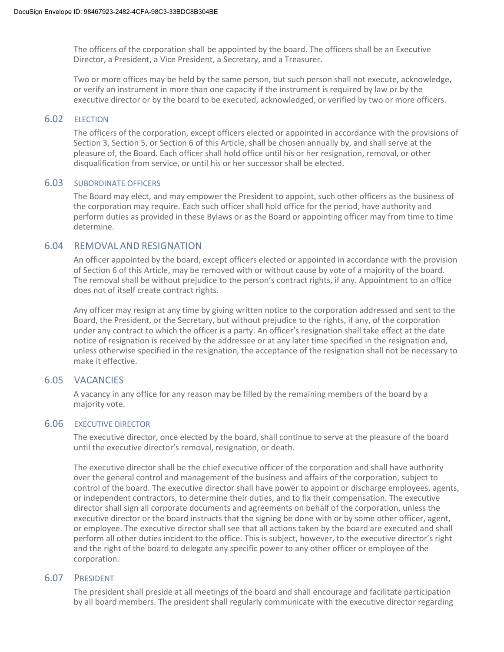The officers of the corporation shall be appointed by the board. The officers shall be an Executive Director, a President, a Vice President, a Secretary, and a Treasurer.

Two or more offices may be held by the same person, but such person shall not execute, acknowledge, or verify an instrument in more than one capacity if the instrument is required by law or by the executive director or by the board to be executed, acknowledged, or verified by two or more officers.

#### 6.02 ELECTION

The officers of the corporation, except officers elected or appointed in accordance with the provisions of Section 3, Section 5, or Section 6 of this Article, shall be chosen annually by, and shall serve at the pleasure of, the Board. Each officer shall hold office until his or her resignation, removal, or other disqualification from service, or until his or her successor shall be elected.

#### 6.03 SUBORDINATE OFFICERS

The Board may elect, and may empower the President to appoint, such other officers as the business of the corporation may require. Each such officer shall hold office for the period, have authority and perform duties as provided in these Bylaws or as the Board or appointing officer may from time to time determine.

#### 6.04 REMOVAL AND RESIGNATION

An officer appointed by the board, except officers elected or appointed in accordance with the provision of Section 6 of this Article, may be removed with or without cause by vote of a majority of the board. The removal shall be without prejudice to the person's contract rights, if any. Appointment to an office does not of itself create contract rights.

Any officer may resign at any time by giving written notice to the corporation addressed and sent to the Board, the President, or the Secretary, but without prejudice to the rights, if any, of the corporation under any contract to which the officer is a party. An officer's resignation shall take effect at the date notice of resignation is received by the addressee or at any later time specified in the resignation and, unless otherwise specified in the resignation, the acceptance of the resignation shall not be necessary to make it effective.

#### 6.05 VACANCIES

A vacancy in any office for any reason may be filled by the remaining members of the board by a majority vote.

#### 6.06 EXECUTIVE DIRECTOR

The executive director, once elected by the board, shall continue to serve at the pleasure of the board until the executive director's removal, resignation, or death.

The executive director shall be the chief executive officer of the corporation and shall have authority over the general control and management of the business and affairs of the corporation, subject to control of the board. The executive director shall have power to appoint or discharge employees, agents, or independent contractors, to determine their duties, and to fix their compensation. The executive director shall sign all corporate documents and agreements on behalf of the corporation, unless the executive director or the board instructs that the signing be done with or by some other officer, agent, or employee. The executive director shall see that all actions taken by the board are executed and shall perform all other duties incident to the office. This is subject, however, to the executive director's right and the right of the board to delegate any specific power to any other officer or employee of the corporation.

#### 6.07 PRESIDENT

The president shall preside at all meetings of the board and shall encourage and facilitate participation by all board members. The president shall regularly communicate with the executive director regarding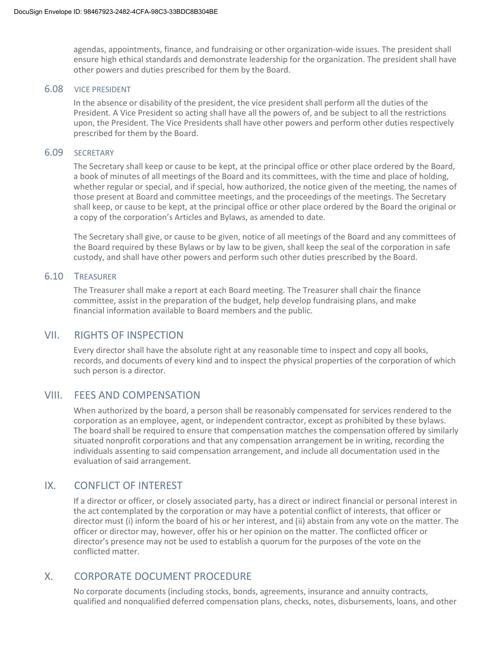agendas, appointments, finance, and fundraising or other organization-wide issues. The president shall ensure high ethical standards and demonstrate leadership for the organization. The president shall have other powers and duties prescribed for them by the Board.

#### 6.08 VICE PRESIDENT

In the absence or disability of the president, the vice president shall perform all the duties of the President. A Vice President so acting shall have all the powers of, and be subject to all the restrictions upon, the President. The Vice Presidents shall have other powers and perform other duties respectively prescribed for them by the Board.

#### 6.09 SECRETARY

The Secretary shall keep or cause to be kept, at the principal office or other place ordered by the Board, a book of minutes of all meetings of the Board and its committees, with the time and place of holding, whether regular or special, and if special, how authorized, the notice given of the meeting, the names of those present at Board and committee meetings, and the proceedings of the meetings. The Secretary shall keep, or cause to be kept, at the principal office or other place ordered by the Board the original or a copy of the corporation's Articles and Bylaws, as amended to date.

The Secretary shall give, or cause to be given, notice of all meetings of the Board and any committees of the Board required by these Bylaws or by law to be given, shall keep the seal of the corporation in safe custody, and shall have other powers and perform such other duties prescribed by the Board.

#### 6.10 TREASURER

The Treasurer shall make a report at each Board meeting. The Treasurer shall chair the finance committee, assist in the preparation of the budget, help develop fundraising plans, and make financial information available to Board members and the public.

#### VII. RIGHTS OF INSPECTION

Every director shall have the absolute right at any reasonable time to inspect and copy all books, records, and documents of every kind and to inspect the physical properties of the corporation of which such person is a director.

#### VIII. FEES AND COMPENSATION

When authorized by the board, a person shall be reasonably compensated for services rendered to the corporation as an employee, agent, or independent contractor, except as prohibited by these bylaws. The board shall be required to ensure that compensation matches the compensation offered by similarly situated nonprofit corporations and that any compensation arrangement be in writing, recording the individuals assenting to said compensation arrangement, and include all documentation used in the evaluation of said arrangement.

## IX. CONFLICT OF INTEREST

If a director or officer, or closely associated party, has a direct or indirect financial or personal interest in the act contemplated by the corporation or may have a potential conflict of interests, that officer or director must (i) inform the board of his or her interest, and (ii) abstain from any vote on the matter. The officer or director may, however, offer his or her opinion on the matter. The conflicted officer or director's presence may not be used to establish a quorum for the purposes of the vote on the conflicted matter.

## X. CORPORATE DOCUMENT PROCEDURE

No corporate documents (including stocks, bonds, agreements, insurance and annuity contracts, qualified and nonqualified deferred compensation plans, checks, notes, disbursements, loans, and other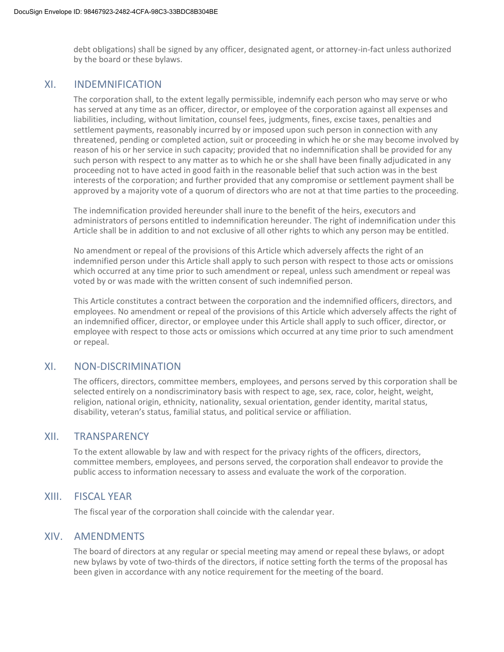debt obligations) shall be signed by any officer, designated agent, or attorney-in-fact unless authorized by the board or these bylaws.

#### XI. INDEMNIFICATION

The corporation shall, to the extent legally permissible, indemnify each person who may serve or who has served at any time as an officer, director, or employee of the corporation against all expenses and liabilities, including, without limitation, counsel fees, judgments, fines, excise taxes, penalties and settlement payments, reasonably incurred by or imposed upon such person in connection with any threatened, pending or completed action, suit or proceeding in which he or she may become involved by reason of his or her service in such capacity; provided that no indemnification shall be provided for any such person with respect to any matter as to which he or she shall have been finally adjudicated in any proceeding not to have acted in good faith in the reasonable belief that such action was in the best interests of the corporation; and further provided that any compromise or settlement payment shall be approved by a majority vote of a quorum of directors who are not at that time parties to the proceeding.

The indemnification provided hereunder shall inure to the benefit of the heirs, executors and administrators of persons entitled to indemnification hereunder. The right of indemnification under this Article shall be in addition to and not exclusive of all other rights to which any person may be entitled.

No amendment or repeal of the provisions of this Article which adversely affects the right of an indemnified person under this Article shall apply to such person with respect to those acts or omissions which occurred at any time prior to such amendment or repeal, unless such amendment or repeal was voted by or was made with the written consent of such indemnified person.

This Article constitutes a contract between the corporation and the indemnified officers, directors, and employees. No amendment or repeal of the provisions of this Article which adversely affects the right of an indemnified officer, director, or employee under this Article shall apply to such officer, director, or employee with respect to those acts or omissions which occurred at any time prior to such amendment or repeal.

#### XI. NON-DISCRIMINATION

The officers, directors, committee members, employees, and persons served by this corporation shall be selected entirely on a nondiscriminatory basis with respect to age, sex, race, color, height, weight, religion, national origin, ethnicity, nationality, sexual orientation, gender identity, marital status, disability, veteran's status, familial status, and political service or affiliation.

#### XII. TRANSPARENCY

To the extent allowable by law and with respect for the privacy rights of the officers, directors, committee members, employees, and persons served, the corporation shall endeavor to provide the public access to information necessary to assess and evaluate the work of the corporation.

#### XIII. FISCAL YEAR

The fiscal year of the corporation shall coincide with the calendar year.

#### XIV. AMENDMENTS

The board of directors at any regular or special meeting may amend or repeal these bylaws, or adopt new bylaws by vote of two-thirds of the directors, if notice setting forth the terms of the proposal has been given in accordance with any notice requirement for the meeting of the board.